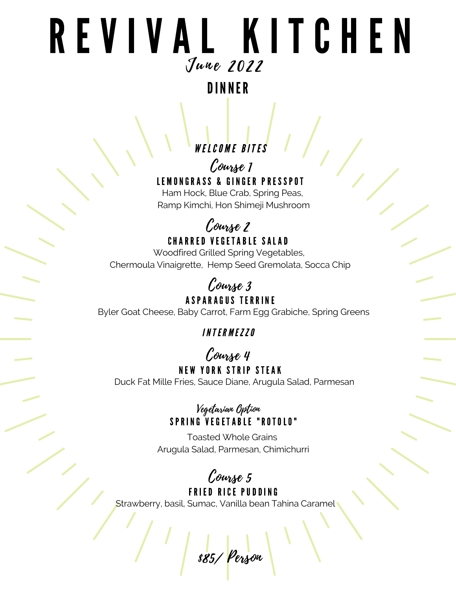# R E V I V A L K I T C H E N June 2022

#### DINNER

WELCOME BITES

LEMONGRASS & GINGER PRESSPOT Ham Hock, Blue Crab, Spring Peas, Ramp Kimchi, Hon Shimeji Mushroom Course 1

## Course 2

**CHARRED VEGETABLE SALAD** Woodfired Grilled Spring Vegetables, Chermoula Vinaigrette, Hemp Seed Gremolata, Socca Chip

Course 3

Byler Goat Cheese, Baby Carrot, Farm Egg Grabiche, Spring Greens ASPARAGUS TERRINE

INT ER M E Z Z O

#### **NEW YORK STRIP STEAK** Course 4

Duck Fat Mille Fries, Sauce Diane, Arugula Salad, Parmesan

Vegetarian Option SPRING VEGETABLE "ROTOLO"

Toasted Whole Grains Arugula Salad, Parmesan, Chimichurri

### Course 5

FRIED RICE PUDDING Strawberry, basil, Sumac, Vanilla bean Tahina Caramel

\$85/ Person